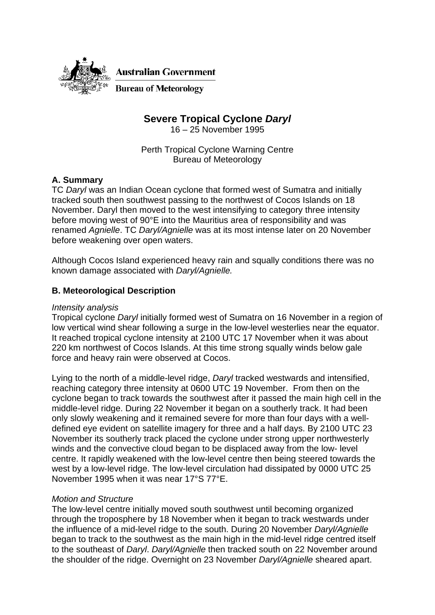

# **Severe Tropical Cyclone** *Daryl*

16 – 25 November 1995

Perth Tropical Cyclone Warning Centre Bureau of Meteorology

# **A. Summary**

TC *Daryl* was an Indian Ocean cyclone that formed west of Sumatra and initially tracked south then southwest passing to the northwest of Cocos Islands on 18 November. Daryl then moved to the west intensifying to category three intensity before moving west of 90°E into the Mauritius area of responsibility and was renamed *Agnielle*. TC *Daryl/Agnielle* was at its most intense later on 20 November before weakening over open waters.

Although Cocos Island experienced heavy rain and squally conditions there was no known damage associated with *Daryl/Agnielle.*

# **B. Meteorological Description**

#### *Intensity analysis*

Tropical cyclone *Daryl* initially formed west of Sumatra on 16 November in a region of low vertical wind shear following a surge in the low-level westerlies near the equator. It reached tropical cyclone intensity at 2100 UTC 17 November when it was about 220 km northwest of Cocos Islands. At this time strong squally winds below gale force and heavy rain were observed at Cocos.

Lying to the north of a middle-level ridge, *Daryl* tracked westwards and intensified, reaching category three intensity at 0600 UTC 19 November. From then on the cyclone began to track towards the southwest after it passed the main high cell in the middle-level ridge. During 22 November it began on a southerly track. It had been only slowly weakening and it remained severe for more than four days with a welldefined eye evident on satellite imagery for three and a half days. By 2100 UTC 23 November its southerly track placed the cyclone under strong upper northwesterly winds and the convective cloud began to be displaced away from the low- level centre. It rapidly weakened with the low-level centre then being steered towards the west by a low-level ridge. The low-level circulation had dissipated by 0000 UTC 25 November 1995 when it was near 17°S 77°E.

### *Motion and Structure*

The low-level centre initially moved south southwest until becoming organized through the troposphere by 18 November when it began to track westwards under the influence of a mid-level ridge to the south. During 20 November *Daryl/Agnielle* began to track to the southwest as the main high in the mid-level ridge centred itself to the southeast of *Daryl*. *Daryl/Agnielle* then tracked south on 22 November around the shoulder of the ridge. Overnight on 23 November *Daryl/Agnielle* sheared apart.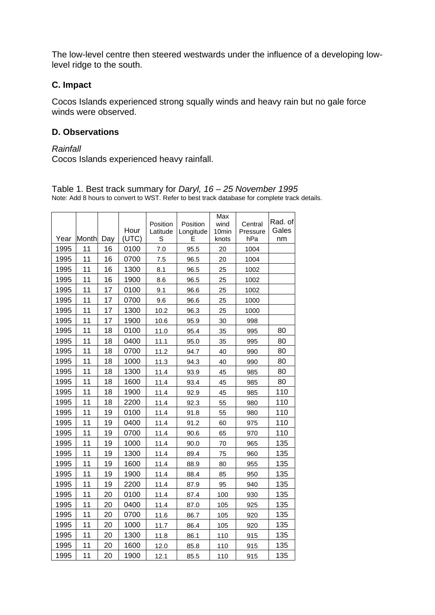The low-level centre then steered westwards under the influence of a developing lowlevel ridge to the south.

# **C. Impact**

Cocos Islands experienced strong squally winds and heavy rain but no gale force winds were observed.

## **D. Observations**

#### *Rainfall*

Cocos Islands experienced heavy rainfall.

| Year | <b>Month</b> | Day | Hour<br>(UTC) | Position<br>Latitude<br>S | Position<br>Longitude<br>E | Max<br>wind<br>10min<br>knots | Central<br>Pressure<br>hPa | Rad. of<br>Gales<br>nm |
|------|--------------|-----|---------------|---------------------------|----------------------------|-------------------------------|----------------------------|------------------------|
| 1995 | 11           | 16  | 0100          | 7.0                       | 95.5                       | 20                            | 1004                       |                        |
| 1995 | 11           | 16  | 0700          | 7.5                       | 96.5                       | 20                            | 1004                       |                        |
| 1995 | 11           | 16  | 1300          | 8.1                       | 96.5                       | 25                            | 1002                       |                        |
| 1995 | 11           | 16  | 1900          | 8.6                       | 96.5                       | 25                            | 1002                       |                        |
| 1995 | 11           | 17  | 0100          | 9.1                       | 96.6                       | 25                            | 1002                       |                        |
| 1995 | 11           | 17  | 0700          | 9.6                       | 96.6                       | 25                            | 1000                       |                        |
| 1995 | 11           | 17  | 1300          | 10.2                      | 96.3                       | 25                            | 1000                       |                        |
| 1995 | 11           | 17  | 1900          | 10.6                      | 95.9                       | 30                            | 998                        |                        |
| 1995 | 11           | 18  | 0100          | 11.0                      | 95.4                       | 35                            | 995                        | 80                     |
| 1995 | 11           | 18  | 0400          | 11.1                      | 95.0                       | 35                            | 995                        | 80                     |
| 1995 | 11           | 18  | 0700          | 11.2                      | 94.7                       | 40                            | 990                        | 80                     |
| 1995 | 11           | 18  | 1000          | 11.3                      | 94.3                       | 40                            | 990                        | 80                     |
| 1995 | 11           | 18  | 1300          | 11.4                      | 93.9                       | 45                            | 985                        | 80                     |
| 1995 | 11           | 18  | 1600          | 11.4                      | 93.4                       | 45                            | 985                        | 80                     |
| 1995 | 11           | 18  | 1900          | 11.4                      | 92.9                       | 45                            | 985                        | 110                    |
| 1995 | 11           | 18  | 2200          | 11.4                      | 92.3                       | 55                            | 980                        | 110                    |
| 1995 | 11           | 19  | 0100          | 11.4                      | 91.8                       | 55                            | 980                        | 110                    |
| 1995 | 11           | 19  | 0400          | 11.4                      | 91.2                       | 60                            | 975                        | 110                    |
| 1995 | 11           | 19  | 0700          | 11.4                      | 90.6                       | 65                            | 970                        | 110                    |
| 1995 | 11           | 19  | 1000          | 11.4                      | 90.0                       | 70                            | 965                        | 135                    |
| 1995 | 11           | 19  | 1300          | 11.4                      | 89.4                       | 75                            | 960                        | 135                    |
| 1995 | 11           | 19  | 1600          | 11.4                      | 88.9                       | 80                            | 955                        | 135                    |
| 1995 | 11           | 19  | 1900          | 11.4                      | 88.4                       | 85                            | 950                        | 135                    |
| 1995 | 11           | 19  | 2200          | 11.4                      | 87.9                       | 95                            | 940                        | 135                    |
| 1995 | 11           | 20  | 0100          | 11.4                      | 87.4                       | 100                           | 930                        | 135                    |
| 1995 | 11           | 20  | 0400          | 11.4                      | 87.0                       | 105                           | 925                        | 135                    |
| 1995 | 11           | 20  | 0700          | 11.6                      | 86.7                       | 105                           | 920                        | 135                    |
| 1995 | 11           | 20  | 1000          | 11.7                      | 86.4                       | 105                           | 920                        | 135                    |
| 1995 | 11           | 20  | 1300          | 11.8                      | 86.1                       | 110                           | 915                        | 135                    |
| 1995 | 11           | 20  | 1600          | 12.0                      | 85.8                       | 110                           | 915                        | 135                    |
| 1995 | 11           | 20  | 1900          | 12.1                      | 85.5                       | 110                           | 915                        | 135                    |

Table 1. Best track summary for *Daryl, 16 – 25 November 1995*  Note: Add 8 hours to convert to WST. Refer to best track database for complete track details.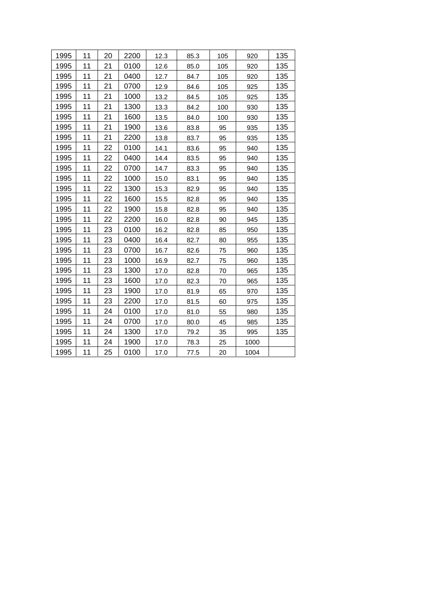| 1995 | 11 | 20 | 2200 | 12.3 | 85.3 | 105 | 920  | 135 |
|------|----|----|------|------|------|-----|------|-----|
| 1995 | 11 | 21 | 0100 | 12.6 | 85.0 | 105 | 920  | 135 |
| 1995 | 11 | 21 | 0400 | 12.7 | 84.7 | 105 | 920  | 135 |
| 1995 | 11 | 21 | 0700 | 12.9 | 84.6 | 105 | 925  | 135 |
| 1995 | 11 | 21 | 1000 | 13.2 | 84.5 | 105 | 925  | 135 |
| 1995 | 11 | 21 | 1300 | 13.3 | 84.2 | 100 | 930  | 135 |
| 1995 | 11 | 21 | 1600 | 13.5 | 84.0 | 100 | 930  | 135 |
| 1995 | 11 | 21 | 1900 | 13.6 | 83.8 | 95  | 935  | 135 |
| 1995 | 11 | 21 | 2200 | 13.8 | 83.7 | 95  | 935  | 135 |
| 1995 | 11 | 22 | 0100 | 14.1 | 83.6 | 95  | 940  | 135 |
| 1995 | 11 | 22 | 0400 | 14.4 | 83.5 | 95  | 940  | 135 |
| 1995 | 11 | 22 | 0700 | 14.7 | 83.3 | 95  | 940  | 135 |
| 1995 | 11 | 22 | 1000 | 15.0 | 83.1 | 95  | 940  | 135 |
| 1995 | 11 | 22 | 1300 | 15.3 | 82.9 | 95  | 940  | 135 |
| 1995 | 11 | 22 | 1600 | 15.5 | 82.8 | 95  | 940  | 135 |
| 1995 | 11 | 22 | 1900 | 15.8 | 82.8 | 95  | 940  | 135 |
| 1995 | 11 | 22 | 2200 | 16.0 | 82.8 | 90  | 945  | 135 |
| 1995 | 11 | 23 | 0100 | 16.2 | 82.8 | 85  | 950  | 135 |
| 1995 | 11 | 23 | 0400 | 16.4 | 82.7 | 80  | 955  | 135 |
| 1995 | 11 | 23 | 0700 | 16.7 | 82.6 | 75  | 960  | 135 |
| 1995 | 11 | 23 | 1000 | 16.9 | 82.7 | 75  | 960  | 135 |
| 1995 | 11 | 23 | 1300 | 17.0 | 82.8 | 70  | 965  | 135 |
| 1995 | 11 | 23 | 1600 | 17.0 | 82.3 | 70  | 965  | 135 |
| 1995 | 11 | 23 | 1900 | 17.0 | 81.9 | 65  | 970  | 135 |
| 1995 | 11 | 23 | 2200 | 17.0 | 81.5 | 60  | 975  | 135 |
| 1995 | 11 | 24 | 0100 | 17.0 | 81.0 | 55  | 980  | 135 |
| 1995 | 11 | 24 | 0700 | 17.0 | 80.0 | 45  | 985  | 135 |
| 1995 | 11 | 24 | 1300 | 17.0 | 79.2 | 35  | 995  | 135 |
| 1995 | 11 | 24 | 1900 | 17.0 | 78.3 | 25  | 1000 |     |
| 1995 | 11 | 25 | 0100 | 17.0 | 77.5 | 20  | 1004 |     |